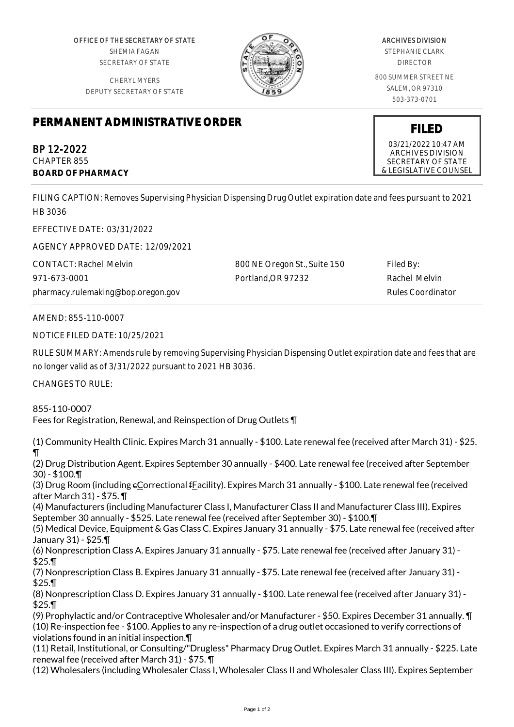OFFICE OF THE SECRETARY OF STATE SHEMIA FAGAN SECRETARY OF STATE

CHERYL MYERS DEPUTY SECRETARY OF STATE



## ARCHIVES DIVISION STEPHANIE CLARK

DIRECTOR

800 SUMMER STREET NE SALEM, OR 97310 503-373-0701

**FILED** 03/21/2022 10:47 AM ARCHIVES DIVISION SECRETARY OF STATE & LEGISLATIVE COUNSEL

## **PERMANENT ADMINISTRATIVE ORDER**

BP 12-2022 CHAPTER 855 **BOARD OF PHARMACY**

FILING CAPTION: Removes Supervising Physician Dispensing Drug Outlet expiration date and fees pursuant to 2021 HB 3036

EFFECTIVE DATE: 03/31/2022

AGENCY APPROVED DATE: 12/09/2021

CONTACT: Rachel Melvin 971-673-0001 pharmacy.rulemaking@bop.oregon.gov 800 NE Oregon St., Suite 150 Portland,OR 97232

Filed By: Rachel Melvin Rules Coordinator

AMEND: 855-110-0007

NOTICE FILED DATE: 10/25/2021

RULE SUMMARY: Amends rule by removing Supervising Physician Dispensing Outlet expiration date and fees that are no longer valid as of 3/31/2022 pursuant to 2021 HB 3036.

CHANGES TO RULE:

855-110-0007 Fees for Registration, Renewal, and Reinspection of Drug Outlets ¶

(1) Community Health Clinic. Expires March 31 annually - \$100. Late renewal fee (received after March 31) - \$25. ¶

(2) Drug Distribution Agent. Expires September 30 annually - \$400. Late renewal fee (received after September 30) - \$100.¶

(3) Drug Room (including eCorrectional fFacility). Expires March 31 annually - \$100. Late renewal fee (received after March 31) - \$75. ¶

(4) Manufacturers (including Manufacturer Class I, Manufacturer Class II and Manufacturer Class III). Expires September 30 annually - \$525. Late renewal fee (received after September 30) - \$100.¶

(5) Medical Device, Equipment & Gas Class C. Expires January 31 annually - \$75. Late renewal fee (received after January 31) - \$25.¶

(6) Nonprescription Class A. Expires January 31 annually - \$75. Late renewal fee (received after January 31) - \$25.¶

(7) Nonprescription Class B. Expires January 31 annually - \$75. Late renewal fee (received after January 31) - \$25.¶

(8) Nonprescription Class D. Expires January 31 annually - \$100. Late renewal fee (received after January 31) - \$25.¶

(9) Prophylactic and/or Contraceptive Wholesaler and/or Manufacturer - \$50. Expires December 31 annually. ¶ (10) Re-inspection fee - \$100. Applies to any re-inspection of a drug outlet occasioned to verify corrections of violations found in an initial inspection.¶

(11) Retail, Institutional, or Consulting/"Drugless" Pharmacy Drug Outlet. Expires March 31 annually - \$225. Late renewal fee (received after March 31) - \$75. ¶

(12) Wholesalers (including Wholesaler Class I, Wholesaler Class II and Wholesaler Class III). Expires September